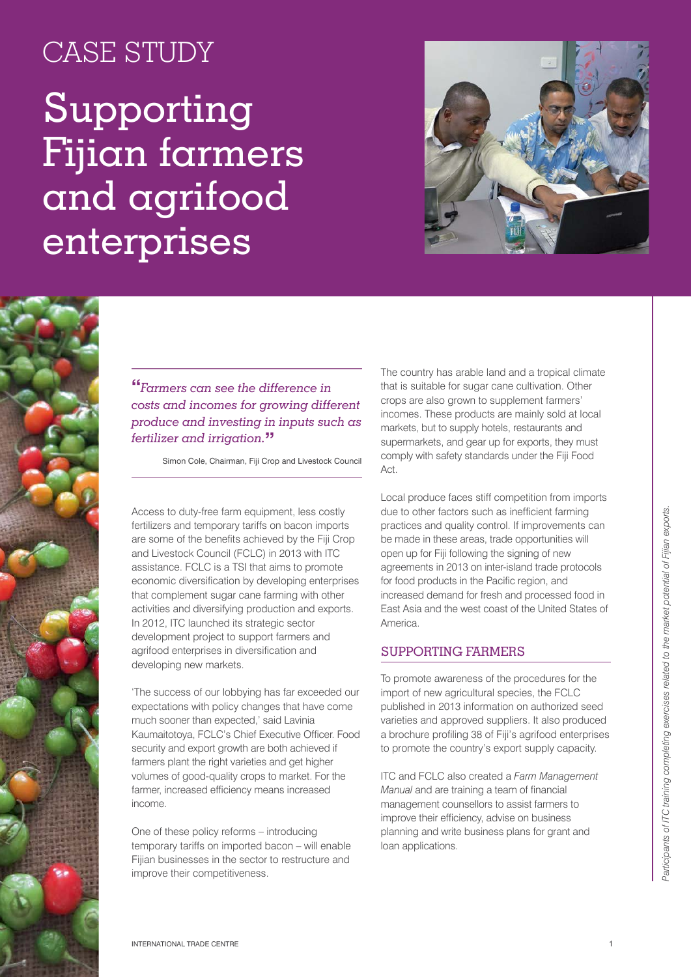# CASE STUDY

# Supporting Fijian farmers and agrifood enterprises





## **"***Farmers can see the difference in costs and incomes for growing different produce and investing in inputs such as fertilizer and irrigation.***"**

Simon Cole, Chairman, Fiji Crop and Livestock Council

Access to duty-free farm equipment, less costly fertilizers and temporary tariffs on bacon imports are some of the benefits achieved by the Fiji Crop and Livestock Council (FCLC) in 2013 with ITC assistance. FCLC is a TSI that aims to promote economic diversification by developing enterprises that complement sugar cane farming with other activities and diversifying production and exports. In 2012, ITC launched its strategic sector development project to support farmers and agrifood enterprises in diversification and developing new markets.

'The success of our lobbying has far exceeded our expectations with policy changes that have come much sooner than expected,' said Lavinia Kaumaitotoya, FCLC's Chief Executive Officer. Food security and export growth are both achieved if farmers plant the right varieties and get higher volumes of good-quality crops to market. For the farmer, increased efficiency means increased income.

One of these policy reforms – introducing temporary tariffs on imported bacon – will enable Fijian businesses in the sector to restructure and improve their competitiveness.

The country has arable land and a tropical climate that is suitable for sugar cane cultivation. Other crops are also grown to supplement farmers' incomes. These products are mainly sold at local markets, but to supply hotels, restaurants and supermarkets, and gear up for exports, they must comply with safety standards under the Fiji Food Act.

Local produce faces stiff competition from imports due to other factors such as inefficient farming practices and quality control. If improvements can be made in these areas, trade opportunities will open up for Fiji following the signing of new agreements in 2013 on inter-island trade protocols for food products in the Pacific region, and increased demand for fresh and processed food in East Asia and the west coast of the United States of America.

#### Supporting farmers

To promote awareness of the procedures for the import of new agricultural species, the FCLC published in 2013 information on authorized seed varieties and approved suppliers. It also produced a brochure profiling 38 of Fiji's agrifood enterprises to promote the country's export supply capacity.

ITC and FCLC also created a *Farm Management Manual* and are training a team of financial management counsellors to assist farmers to improve their efficiency, advise on business planning and write business plans for grant and loan applications.